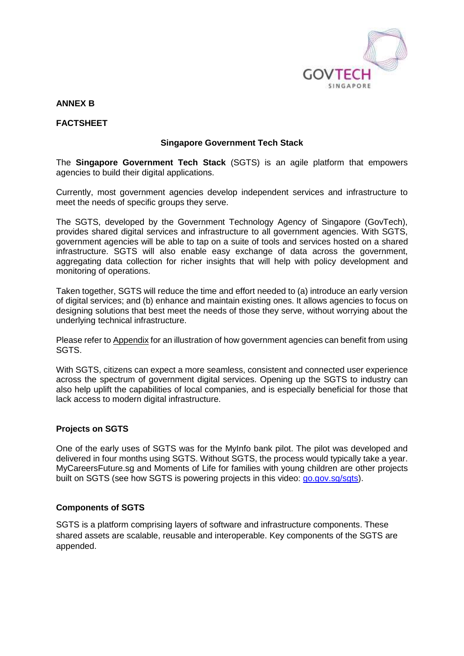

#### **ANNEX B**

#### **FACTSHEET**

#### **Singapore Government Tech Stack**

The **Singapore Government Tech Stack** (SGTS) is an agile platform that empowers agencies to build their digital applications.

Currently, most government agencies develop independent services and infrastructure to meet the needs of specific groups they serve.

The SGTS, developed by the Government Technology Agency of Singapore (GovTech), provides shared digital services and infrastructure to all government agencies. With SGTS, government agencies will be able to tap on a suite of tools and services hosted on a shared infrastructure. SGTS will also enable easy exchange of data across the government, aggregating data collection for richer insights that will help with policy development and monitoring of operations.

Taken together, SGTS will reduce the time and effort needed to (a) introduce an early version of digital services; and (b) enhance and maintain existing ones. It allows agencies to focus on designing solutions that best meet the needs of those they serve, without worrying about the underlying technical infrastructure.

Please refer to Appendix for an illustration of how government agencies can benefit from using SGTS.

With SGTS, citizens can expect a more seamless, consistent and connected user experience across the spectrum of government digital services. Opening up the SGTS to industry can also help uplift the capabilities of local companies, and is especially beneficial for those that lack access to modern digital infrastructure.

#### **Projects on SGTS**

One of the early uses of SGTS was for the MyInfo bank pilot. The pilot was developed and delivered in four months using SGTS. Without SGTS, the process would typically take a year. MyCareersFuture.sg and Moments of Life for families with young children are other projects built on SGTS (see how SGTS is powering projects in this video: [go.gov.sg/sgts\)](file:///C:/Users/GT-TANBL/Desktop/GovTech/Media%20Releases/INDUSTRY%20BRIEFING%202019/Media%20Materials/go.gov.sg/sgts).

#### **Components of SGTS**

SGTS is a platform comprising layers of software and infrastructure components. These shared assets are scalable, reusable and interoperable. Key components of the SGTS are appended.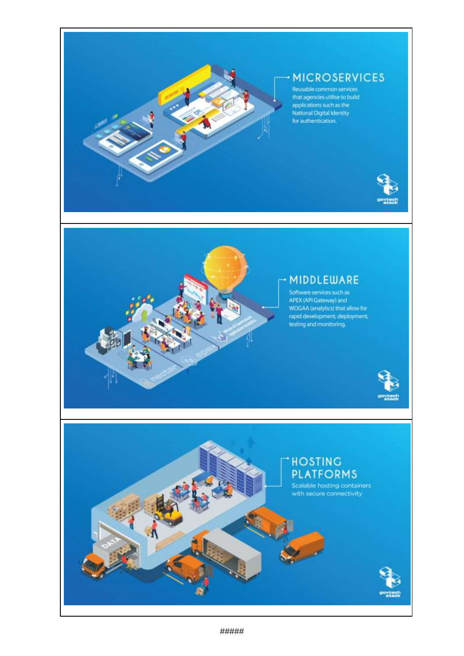

# **MICROSERVICES**

Production of the Castle Common services<br>that agencies utilise to build<br>applications such as the<br>National Digital Identity<br>for authentication.





## MIDDLEWARE

Software services such as<br>APEX (API Gateway) and<br>WOGAA (analytics) that allow for<br>rapid development, deployment,<br>testing and monitoring.